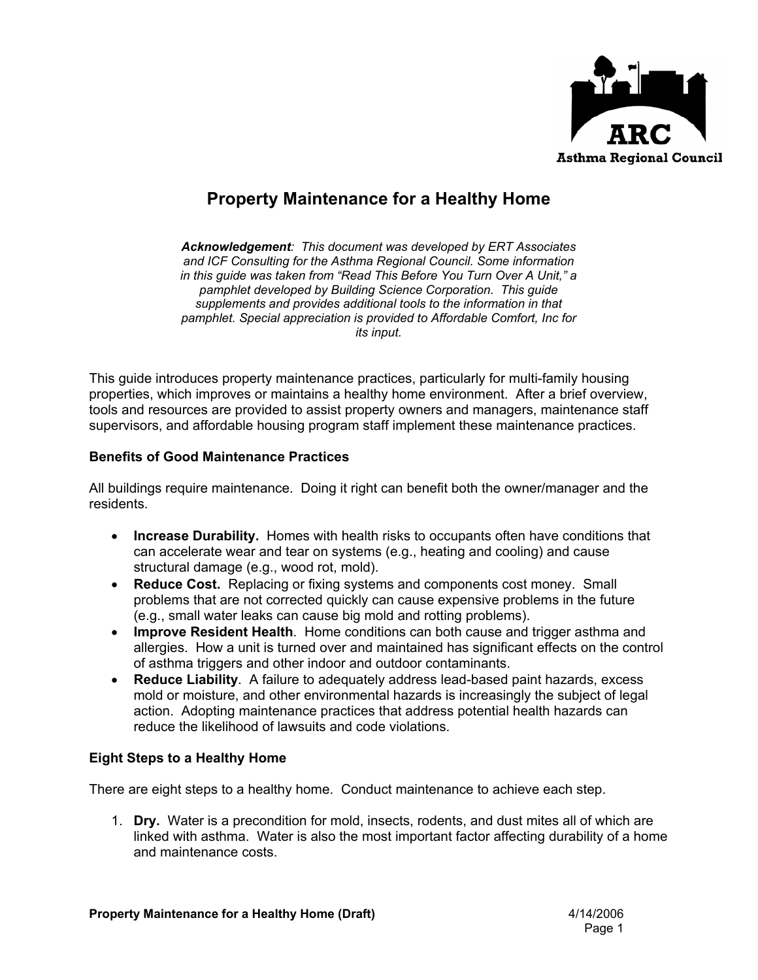

# **Property Maintenance for a Healthy Home**

*Acknowledgement: This document was developed by ERT Associates and ICF Consulting for the Asthma Regional Council. Some information in this guide was taken from "Read This Before You Turn Over A Unit," a pamphlet developed by Building Science Corporation. This guide supplements and provides additional tools to the information in that pamphlet. Special appreciation is provided to Affordable Comfort, Inc for its input.* 

This guide introduces property maintenance practices, particularly for multi-family housing properties, which improves or maintains a healthy home environment. After a brief overview, tools and resources are provided to assist property owners and managers, maintenance staff supervisors, and affordable housing program staff implement these maintenance practices.

#### **Benefits of Good Maintenance Practices**

All buildings require maintenance. Doing it right can benefit both the owner/manager and the residents.

- **Increase Durability.** Homes with health risks to occupants often have conditions that can accelerate wear and tear on systems (e.g., heating and cooling) and cause structural damage (e.g., wood rot, mold).
- **Reduce Cost.** Replacing or fixing systems and components cost money. Small problems that are not corrected quickly can cause expensive problems in the future (e.g., small water leaks can cause big mold and rotting problems).
- **Improve Resident Health**. Home conditions can both cause and trigger asthma and allergies. How a unit is turned over and maintained has significant effects on the control of asthma triggers and other indoor and outdoor contaminants.
- **Reduce Liability**. A failure to adequately address lead-based paint hazards, excess mold or moisture, and other environmental hazards is increasingly the subject of legal action. Adopting maintenance practices that address potential health hazards can reduce the likelihood of lawsuits and code violations.

#### **Eight Steps to a Healthy Home**

There are eight steps to a healthy home. Conduct maintenance to achieve each step.

1. **Dry.** Water is a precondition for mold, insects, rodents, and dust mites all of which are linked with asthma. Water is also the most important factor affecting durability of a home and maintenance costs.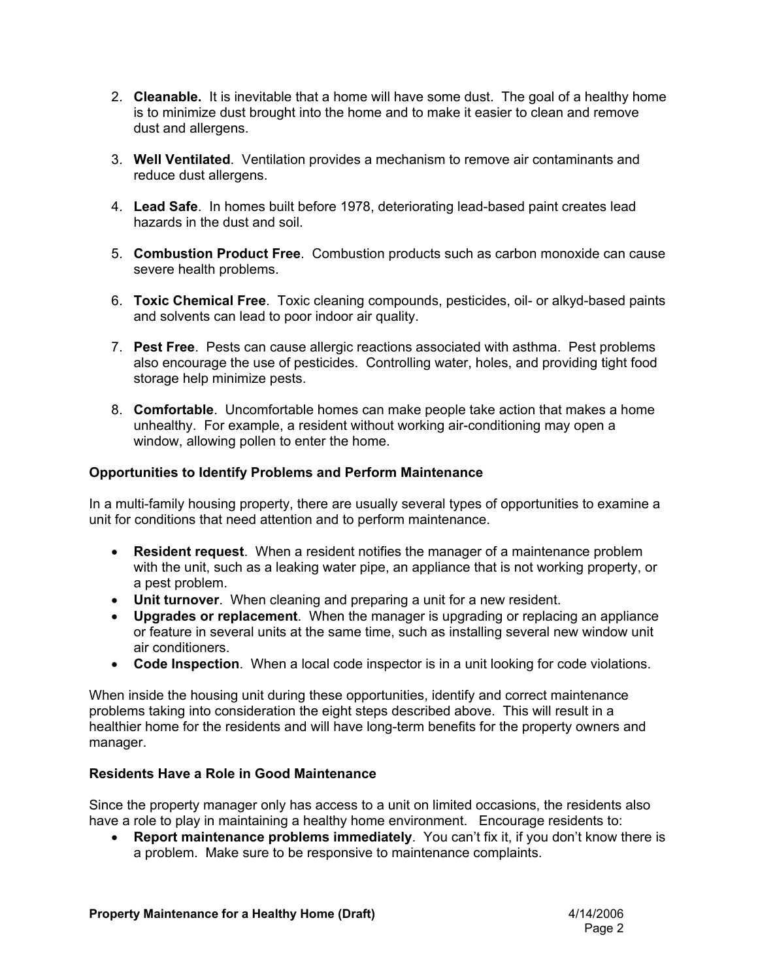- 2. **Cleanable.** It is inevitable that a home will have some dust. The goal of a healthy home is to minimize dust brought into the home and to make it easier to clean and remove dust and allergens.
- 3. **Well Ventilated**. Ventilation provides a mechanism to remove air contaminants and reduce dust allergens.
- 4. **Lead Safe**. In homes built before 1978, deteriorating lead-based paint creates lead hazards in the dust and soil.
- 5. **Combustion Product Free**. Combustion products such as carbon monoxide can cause severe health problems.
- 6. **Toxic Chemical Free**. Toxic cleaning compounds, pesticides, oil- or alkyd-based paints and solvents can lead to poor indoor air quality.
- 7. **Pest Free**. Pests can cause allergic reactions associated with asthma. Pest problems also encourage the use of pesticides. Controlling water, holes, and providing tight food storage help minimize pests.
- 8. **Comfortable**. Uncomfortable homes can make people take action that makes a home unhealthy. For example, a resident without working air-conditioning may open a window, allowing pollen to enter the home.

#### **Opportunities to Identify Problems and Perform Maintenance**

In a multi-family housing property, there are usually several types of opportunities to examine a unit for conditions that need attention and to perform maintenance.

- **Resident request**. When a resident notifies the manager of a maintenance problem with the unit, such as a leaking water pipe, an appliance that is not working property, or a pest problem.
- **Unit turnover**. When cleaning and preparing a unit for a new resident.
- **Upgrades or replacement**. When the manager is upgrading or replacing an appliance or feature in several units at the same time, such as installing several new window unit air conditioners.
- **Code Inspection**. When a local code inspector is in a unit looking for code violations.

When inside the housing unit during these opportunities, identify and correct maintenance problems taking into consideration the eight steps described above. This will result in a healthier home for the residents and will have long-term benefits for the property owners and manager.

#### **Residents Have a Role in Good Maintenance**

Since the property manager only has access to a unit on limited occasions, the residents also have a role to play in maintaining a healthy home environment. Encourage residents to:

• **Report maintenance problems immediately**. You can't fix it, if you don't know there is a problem. Make sure to be responsive to maintenance complaints.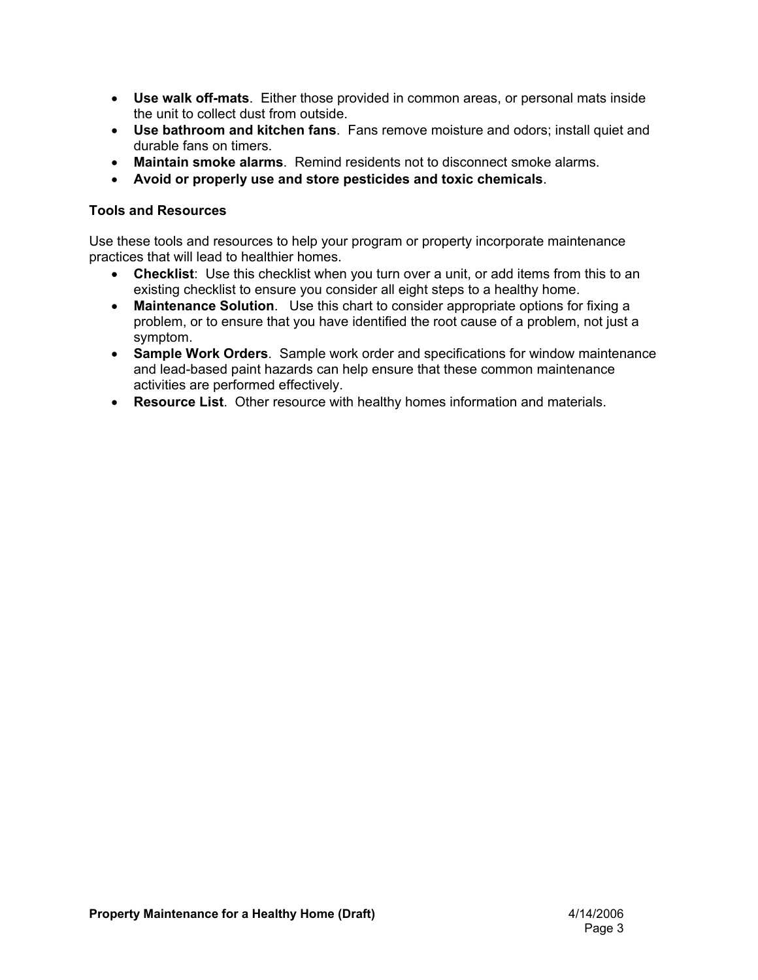- **Use walk off-mats**. Either those provided in common areas, or personal mats inside the unit to collect dust from outside.
- **Use bathroom and kitchen fans**. Fans remove moisture and odors; install quiet and durable fans on timers.
- **Maintain smoke alarms**. Remind residents not to disconnect smoke alarms.
- **Avoid or properly use and store pesticides and toxic chemicals**.

#### **Tools and Resources**

Use these tools and resources to help your program or property incorporate maintenance practices that will lead to healthier homes.

- **Checklist**: Use this checklist when you turn over a unit, or add items from this to an existing checklist to ensure you consider all eight steps to a healthy home.
- **Maintenance Solution**. Use this chart to consider appropriate options for fixing a problem, or to ensure that you have identified the root cause of a problem, not just a symptom.
- **Sample Work Orders**. Sample work order and specifications for window maintenance and lead-based paint hazards can help ensure that these common maintenance activities are performed effectively.
- **Resource List**. Other resource with healthy homes information and materials.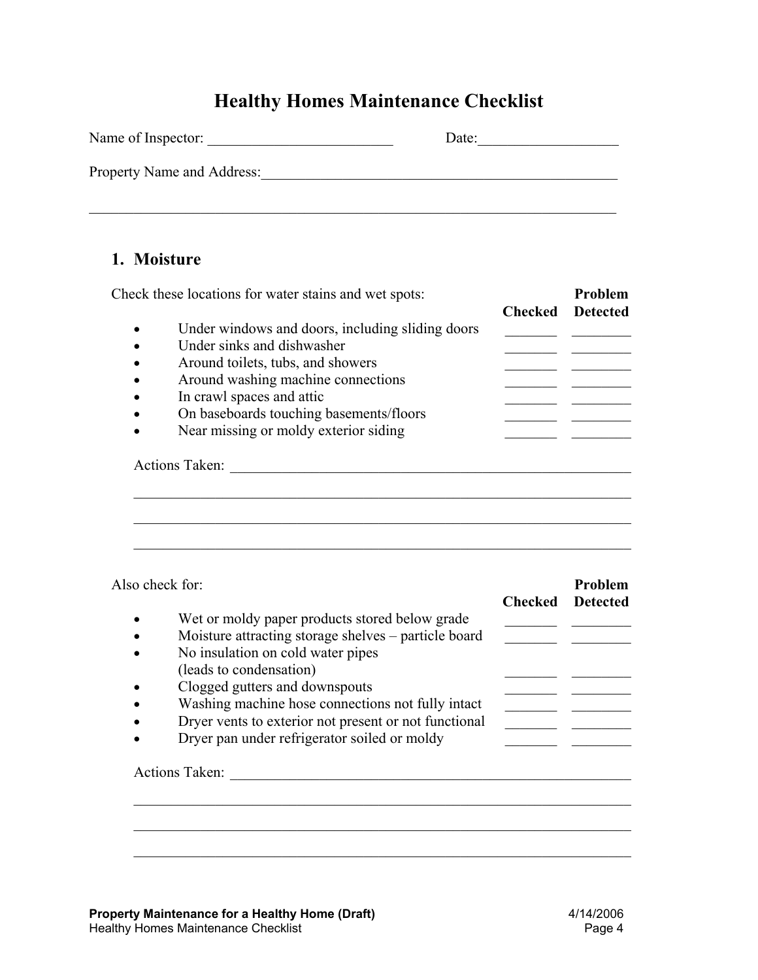# **Healthy Homes Maintenance Checklist**

| Name of Inspector:         | Date: |
|----------------------------|-------|
| Property Name and Address: |       |
|                            |       |

### **1. Moisture**

|           |                                                  | <b>Checked</b> Detected |  |
|-----------|--------------------------------------------------|-------------------------|--|
|           | Under windows and doors, including sliding doors |                         |  |
|           | Under sinks and dishwasher                       |                         |  |
|           | Around toilets, tubs, and showers                |                         |  |
| $\bullet$ | Around washing machine connections               |                         |  |
|           | In crawl spaces and attic                        |                         |  |
|           | On baseboards touching basements/floors          |                         |  |
|           | Near missing or moldy exterior siding            |                         |  |
|           | Actions Taken:                                   |                         |  |
|           |                                                  |                         |  |
|           |                                                  |                         |  |

| Wet or moldy paper products stored below grade                                                                                                                                                                                                                                                                       |         | Problem         |
|----------------------------------------------------------------------------------------------------------------------------------------------------------------------------------------------------------------------------------------------------------------------------------------------------------------------|---------|-----------------|
| Moisture attracting storage shelves - particle board<br>No insulation on cold water pipes<br>(leads to condensation)<br>Clogged gutters and downspouts<br>Washing machine hose connections not fully intact<br>Dryer vents to exterior not present or not functional<br>Dryer pan under refrigerator soiled or moldy | Checked | <b>Detected</b> |

 $\mathcal{L}_\mathcal{L} = \mathcal{L}_\mathcal{L} = \mathcal{L}_\mathcal{L} = \mathcal{L}_\mathcal{L} = \mathcal{L}_\mathcal{L} = \mathcal{L}_\mathcal{L} = \mathcal{L}_\mathcal{L} = \mathcal{L}_\mathcal{L} = \mathcal{L}_\mathcal{L} = \mathcal{L}_\mathcal{L} = \mathcal{L}_\mathcal{L} = \mathcal{L}_\mathcal{L} = \mathcal{L}_\mathcal{L} = \mathcal{L}_\mathcal{L} = \mathcal{L}_\mathcal{L} = \mathcal{L}_\mathcal{L} = \mathcal{L}_\mathcal{L}$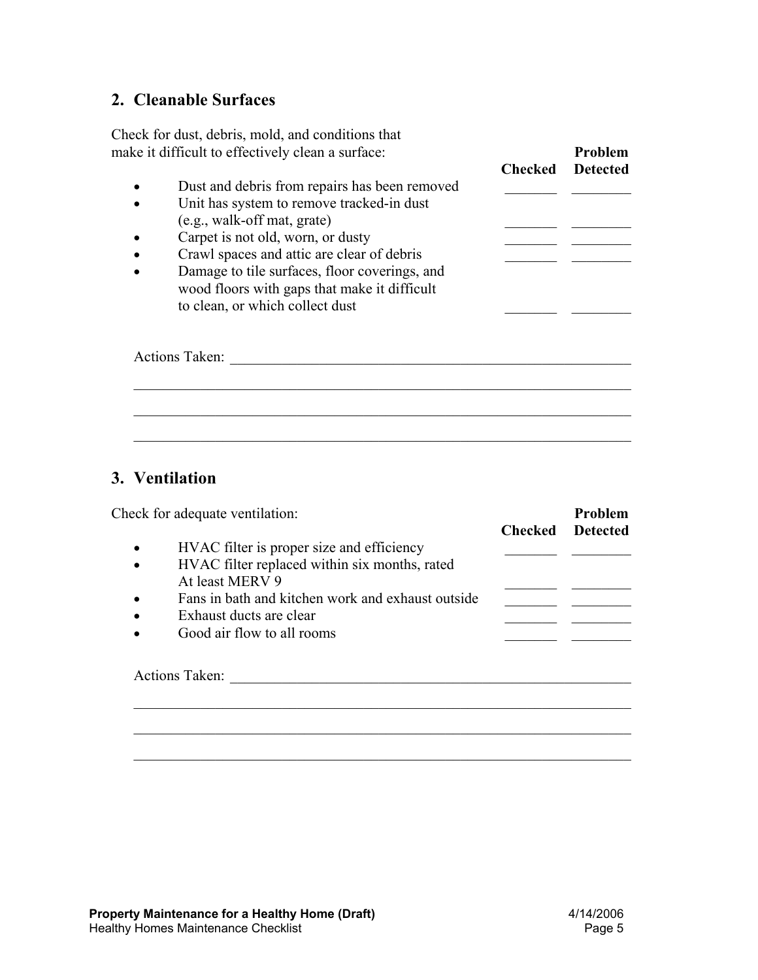### **2. Cleanable Surfaces**

Check for dust, debris, mold, and conditions that make it difficult to effectively clean a surface:

- Dust and debris from repairs has been removed
- Unit has system to remove tracked-in dust  $(e.g., walk-off mat, gate)$
- Carpet is not old, worn, or dusty
- Crawl spaces and attic are clear of debris
- Damage to tile surfaces, floor coverings, and wood floors with gaps that make it difficult to clean, or which collect dust

|           | make it difficult to effectively clean a surface:                                                                                |                | Problem         |
|-----------|----------------------------------------------------------------------------------------------------------------------------------|----------------|-----------------|
|           |                                                                                                                                  | <b>Checked</b> | <b>Detected</b> |
| $\bullet$ | Dust and debris from repairs has been removed                                                                                    |                |                 |
| $\bullet$ | Unit has system to remove tracked-in dust                                                                                        |                |                 |
|           | (e.g., walk-off mat, grate)                                                                                                      |                |                 |
| $\bullet$ | Carpet is not old, worn, or dusty                                                                                                |                |                 |
| $\bullet$ | Crawl spaces and attic are clear of debris                                                                                       |                |                 |
| $\bullet$ | Damage to tile surfaces, floor coverings, and<br>wood floors with gaps that make it difficult<br>to clean, or which collect dust |                |                 |

| <b>Actions Taken:</b> |  |  |  |
|-----------------------|--|--|--|
|                       |  |  |  |
|                       |  |  |  |
|                       |  |  |  |

 $\mathcal{L}_\mathcal{L} = \mathcal{L}_\mathcal{L} = \mathcal{L}_\mathcal{L} = \mathcal{L}_\mathcal{L} = \mathcal{L}_\mathcal{L} = \mathcal{L}_\mathcal{L} = \mathcal{L}_\mathcal{L} = \mathcal{L}_\mathcal{L} = \mathcal{L}_\mathcal{L} = \mathcal{L}_\mathcal{L} = \mathcal{L}_\mathcal{L} = \mathcal{L}_\mathcal{L} = \mathcal{L}_\mathcal{L} = \mathcal{L}_\mathcal{L} = \mathcal{L}_\mathcal{L} = \mathcal{L}_\mathcal{L} = \mathcal{L}_\mathcal{L}$ 

## **3. Ventilation**

| HVAC filter is proper size and efficiency<br>HVAC filter replaced within six months, rated |                                                                                                            |  |
|--------------------------------------------------------------------------------------------|------------------------------------------------------------------------------------------------------------|--|
|                                                                                            |                                                                                                            |  |
|                                                                                            |                                                                                                            |  |
| At least MERV 9                                                                            |                                                                                                            |  |
|                                                                                            |                                                                                                            |  |
|                                                                                            |                                                                                                            |  |
|                                                                                            |                                                                                                            |  |
|                                                                                            | Fans in bath and kitchen work and exhaust outside<br>Exhaust ducts are clear<br>Good air flow to all rooms |  |

 $\mathcal{L}_\mathcal{L} = \mathcal{L}_\mathcal{L} = \mathcal{L}_\mathcal{L} = \mathcal{L}_\mathcal{L} = \mathcal{L}_\mathcal{L} = \mathcal{L}_\mathcal{L} = \mathcal{L}_\mathcal{L} = \mathcal{L}_\mathcal{L} = \mathcal{L}_\mathcal{L} = \mathcal{L}_\mathcal{L} = \mathcal{L}_\mathcal{L} = \mathcal{L}_\mathcal{L} = \mathcal{L}_\mathcal{L} = \mathcal{L}_\mathcal{L} = \mathcal{L}_\mathcal{L} = \mathcal{L}_\mathcal{L} = \mathcal{L}_\mathcal{L}$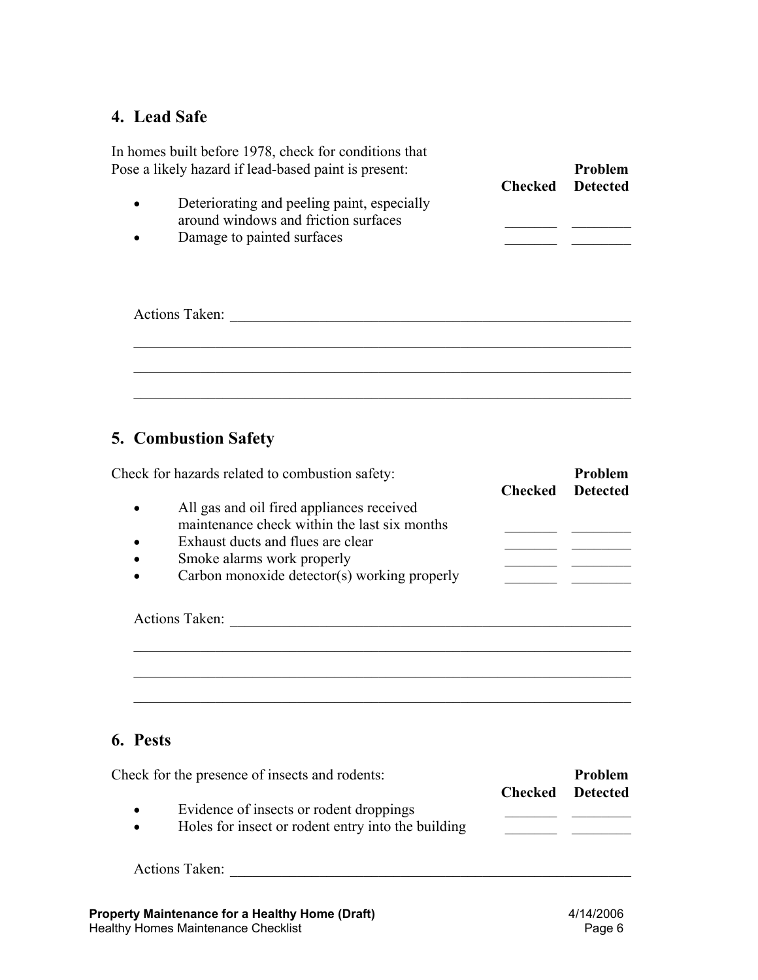## **4. Lead Safe**

| $\bullet$ | Deteriorating and peeling paint, especially                        | <b>Checked</b> | <b>Detected</b> |
|-----------|--------------------------------------------------------------------|----------------|-----------------|
| $\bullet$ | around windows and friction surfaces<br>Damage to painted surfaces |                |                 |
|           |                                                                    |                |                 |
|           |                                                                    |                |                 |
|           | <b>Actions Taken:</b>                                              |                |                 |
|           |                                                                    |                |                 |
|           |                                                                    |                |                 |

# **5. Combustion Safety**

|           | Check for hazards related to combustion safety: | Checked | <b>Problem</b><br><b>Detected</b> |
|-----------|-------------------------------------------------|---------|-----------------------------------|
| $\bullet$ | All gas and oil fired appliances received       |         |                                   |
|           | maintenance check within the last six months    |         |                                   |
|           | Exhaust ducts and flues are clear               |         |                                   |
|           | Smoke alarms work properly                      |         |                                   |
| $\bullet$ | Carbon monoxide detector(s) working properly    |         |                                   |
|           | <b>Actions Taken:</b>                           |         |                                   |
|           |                                                 |         |                                   |
|           |                                                 |         |                                   |
|           |                                                 |         |                                   |
|           |                                                 |         |                                   |

# **6. Pests**

| Check for the presence of insects and rodents:                  |                | Problem         |
|-----------------------------------------------------------------|----------------|-----------------|
|                                                                 | <b>Checked</b> | <b>Detected</b> |
| Evidence of insects or rodent droppings<br>$\bullet$            |                |                 |
| Holes for insect or rodent entry into the building<br>$\bullet$ |                |                 |
| <b>Actions Taken:</b>                                           |                |                 |
|                                                                 |                |                 |
| <b>Property Maintenance for a Healthy Home (Draft)</b>          |                | 4/14/2006       |

Healthy Homes Maintenance Checklist Page 6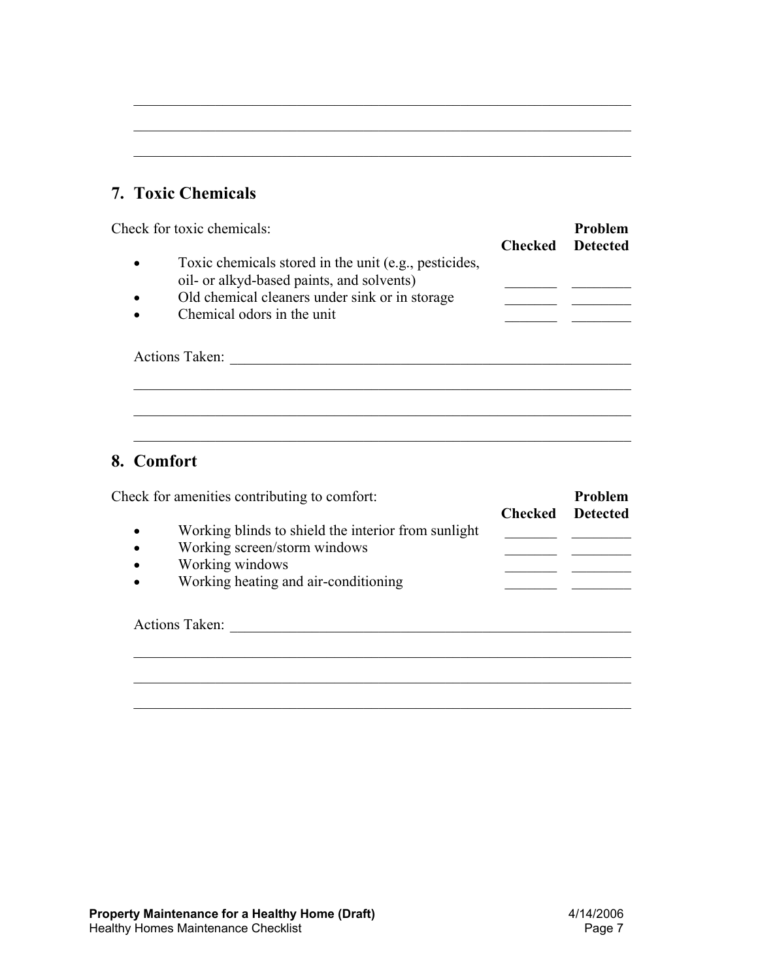## **7. Toxic Chemicals**

| Toxic chemicals stored in the unit (e.g., pesticides, |                                                                                             |  |
|-------------------------------------------------------|---------------------------------------------------------------------------------------------|--|
|                                                       |                                                                                             |  |
|                                                       |                                                                                             |  |
| Chemical odors in the unit                            |                                                                                             |  |
|                                                       | oil- or alkyd-based paints, and solvents)<br>Old chemical cleaners under sink or in storage |  |

 $\mathcal{L}_\mathcal{L} = \mathcal{L}_\mathcal{L} = \mathcal{L}_\mathcal{L} = \mathcal{L}_\mathcal{L} = \mathcal{L}_\mathcal{L} = \mathcal{L}_\mathcal{L} = \mathcal{L}_\mathcal{L} = \mathcal{L}_\mathcal{L} = \mathcal{L}_\mathcal{L} = \mathcal{L}_\mathcal{L} = \mathcal{L}_\mathcal{L} = \mathcal{L}_\mathcal{L} = \mathcal{L}_\mathcal{L} = \mathcal{L}_\mathcal{L} = \mathcal{L}_\mathcal{L} = \mathcal{L}_\mathcal{L} = \mathcal{L}_\mathcal{L}$ 

 $\mathcal{L}_\mathcal{L} = \mathcal{L}_\mathcal{L} = \mathcal{L}_\mathcal{L} = \mathcal{L}_\mathcal{L} = \mathcal{L}_\mathcal{L} = \mathcal{L}_\mathcal{L} = \mathcal{L}_\mathcal{L} = \mathcal{L}_\mathcal{L} = \mathcal{L}_\mathcal{L} = \mathcal{L}_\mathcal{L} = \mathcal{L}_\mathcal{L} = \mathcal{L}_\mathcal{L} = \mathcal{L}_\mathcal{L} = \mathcal{L}_\mathcal{L} = \mathcal{L}_\mathcal{L} = \mathcal{L}_\mathcal{L} = \mathcal{L}_\mathcal{L}$ 

 $\mathcal{L}_\mathcal{L} = \mathcal{L}_\mathcal{L} = \mathcal{L}_\mathcal{L} = \mathcal{L}_\mathcal{L} = \mathcal{L}_\mathcal{L} = \mathcal{L}_\mathcal{L} = \mathcal{L}_\mathcal{L} = \mathcal{L}_\mathcal{L} = \mathcal{L}_\mathcal{L} = \mathcal{L}_\mathcal{L} = \mathcal{L}_\mathcal{L} = \mathcal{L}_\mathcal{L} = \mathcal{L}_\mathcal{L} = \mathcal{L}_\mathcal{L} = \mathcal{L}_\mathcal{L} = \mathcal{L}_\mathcal{L} = \mathcal{L}_\mathcal{L}$ 

 $\mathcal{L}_\text{max} = \mathcal{L}_\text{max} = \mathcal{L}_\text{max} = \mathcal{L}_\text{max} = \mathcal{L}_\text{max} = \mathcal{L}_\text{max} = \mathcal{L}_\text{max} = \mathcal{L}_\text{max} = \mathcal{L}_\text{max} = \mathcal{L}_\text{max} = \mathcal{L}_\text{max} = \mathcal{L}_\text{max} = \mathcal{L}_\text{max} = \mathcal{L}_\text{max} = \mathcal{L}_\text{max} = \mathcal{L}_\text{max} = \mathcal{L}_\text{max} = \mathcal{L}_\text{max} = \mathcal{$ 

 $\mathcal{L}_\mathcal{L} = \mathcal{L}_\mathcal{L} = \mathcal{L}_\mathcal{L} = \mathcal{L}_\mathcal{L} = \mathcal{L}_\mathcal{L} = \mathcal{L}_\mathcal{L} = \mathcal{L}_\mathcal{L} = \mathcal{L}_\mathcal{L} = \mathcal{L}_\mathcal{L} = \mathcal{L}_\mathcal{L} = \mathcal{L}_\mathcal{L} = \mathcal{L}_\mathcal{L} = \mathcal{L}_\mathcal{L} = \mathcal{L}_\mathcal{L} = \mathcal{L}_\mathcal{L} = \mathcal{L}_\mathcal{L} = \mathcal{L}_\mathcal{L}$ 

## **8. Comfort**

|                                                  | Check for amenities contributing to comfort:                                                                                                   | Checked | <b>Problem</b><br><b>Detected</b> |
|--------------------------------------------------|------------------------------------------------------------------------------------------------------------------------------------------------|---------|-----------------------------------|
| $\bullet$<br>$\bullet$<br>$\bullet$<br>$\bullet$ | Working blinds to shield the interior from sunlight<br>Working screen/storm windows<br>Working windows<br>Working heating and air-conditioning |         |                                   |
|                                                  |                                                                                                                                                |         |                                   |
|                                                  | <b>Actions Taken:</b>                                                                                                                          |         |                                   |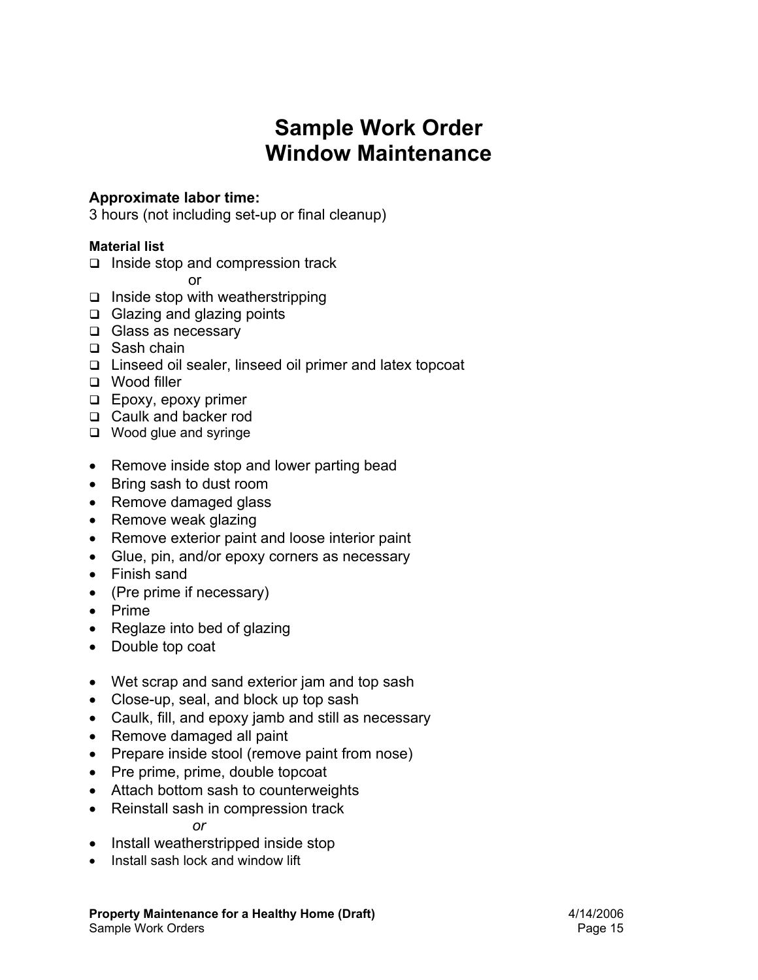# **Sample Work Order Window Maintenance**

### **Approximate labor time:**

3 hours (not including set-up or final cleanup)

#### **Material list**

- $\Box$  Inside stop and compression track
- or
- $\Box$  Inside stop with weatherstripping
- □ Glazing and glazing points
- □ Glass as necessary
- □ Sash chain
- Linseed oil sealer, linseed oil primer and latex topcoat
- Wood filler
- **Epoxy, epoxy primer**
- □ Caulk and backer rod
- □ Wood glue and syringe
- Remove inside stop and lower parting bead
- Bring sash to dust room
- Remove damaged glass
- Remove weak glazing
- Remove exterior paint and loose interior paint
- Glue, pin, and/or epoxy corners as necessary
- Finish sand
- (Pre prime if necessary)
- Prime
- Reglaze into bed of glazing
- Double top coat
- Wet scrap and sand exterior jam and top sash
- Close-up, seal, and block up top sash
- Caulk, fill, and epoxy jamb and still as necessary
- Remove damaged all paint
- Prepare inside stool (remove paint from nose)
- Pre prime, prime, double topcoat
- Attach bottom sash to counterweights
- Reinstall sash in compression track

*or* 

- Install weatherstripped inside stop
- Install sash lock and window lift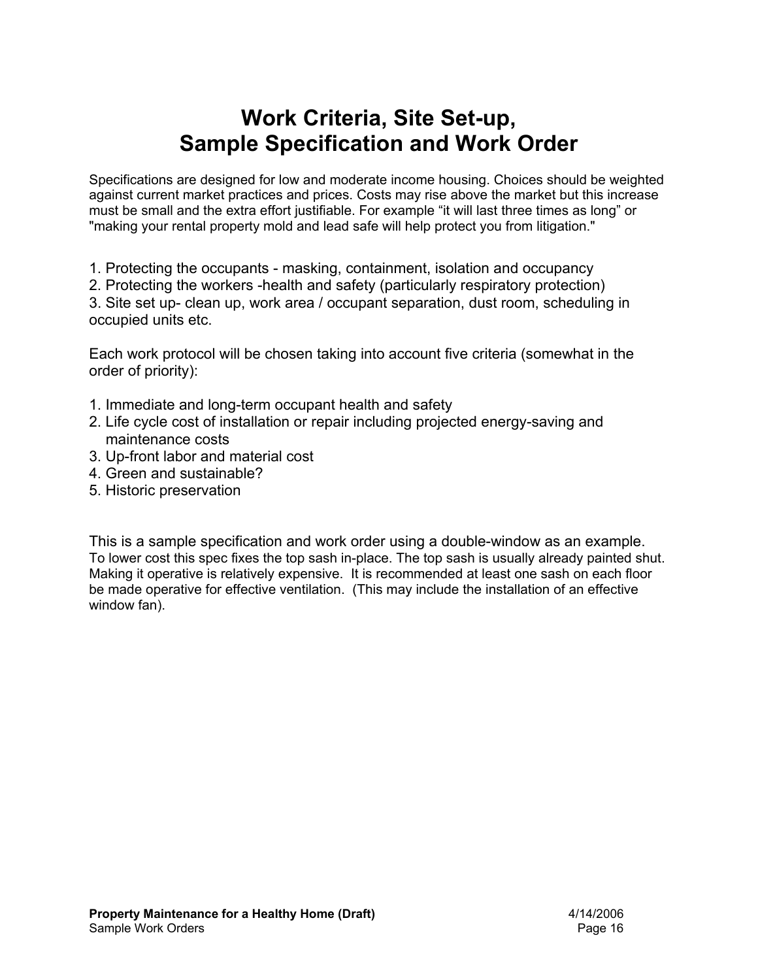# **Work Criteria, Site Set-up, Sample Specification and Work Order**

Specifications are designed for low and moderate income housing. Choices should be weighted against current market practices and prices. Costs may rise above the market but this increase must be small and the extra effort justifiable. For example "it will last three times as long" or "making your rental property mold and lead safe will help protect you from litigation."

1. Protecting the occupants - masking, containment, isolation and occupancy

2. Protecting the workers -health and safety (particularly respiratory protection)

3. Site set up- clean up, work area / occupant separation, dust room, scheduling in occupied units etc.

Each work protocol will be chosen taking into account five criteria (somewhat in the order of priority):

- 1. Immediate and long-term occupant health and safety
- 2. Life cycle cost of installation or repair including projected energy-saving and maintenance costs
- 3. Up-front labor and material cost
- 4. Green and sustainable?
- 5. Historic preservation

This is a sample specification and work order using a double-window as an example. To lower cost this spec fixes the top sash in-place. The top sash is usually already painted shut. Making it operative is relatively expensive. It is recommended at least one sash on each floor be made operative for effective ventilation. (This may include the installation of an effective window fan).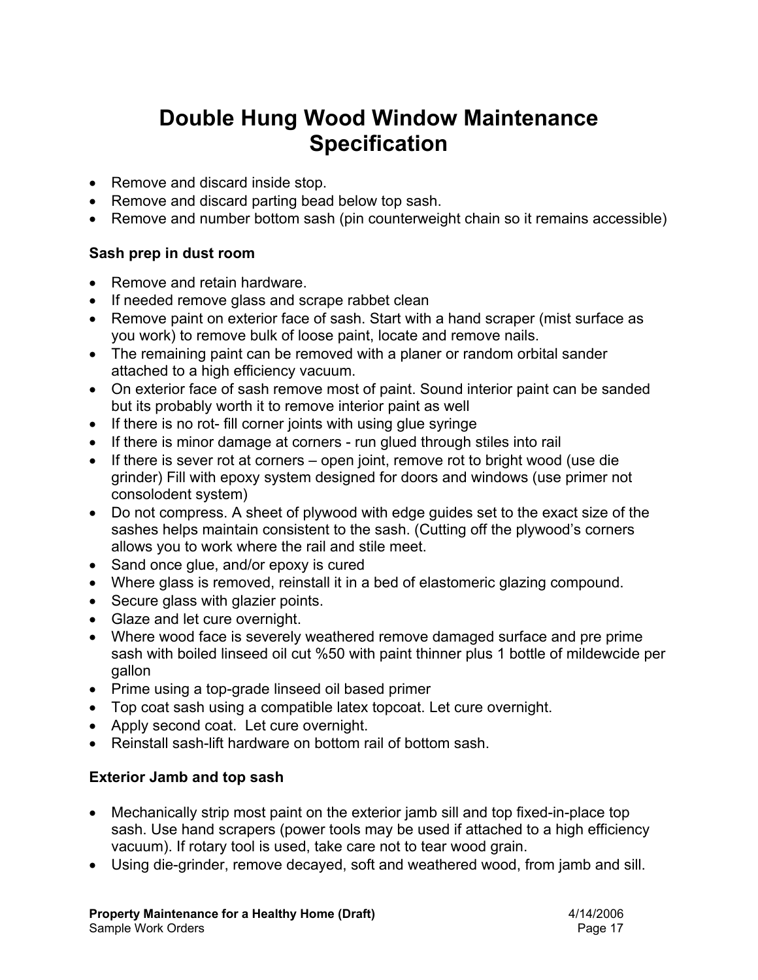# **Double Hung Wood Window Maintenance Specification**

- Remove and discard inside stop.
- Remove and discard parting bead below top sash.
- Remove and number bottom sash (pin counterweight chain so it remains accessible)

### **Sash prep in dust room**

- Remove and retain hardware.
- If needed remove glass and scrape rabbet clean
- Remove paint on exterior face of sash. Start with a hand scraper (mist surface as you work) to remove bulk of loose paint, locate and remove nails.
- The remaining paint can be removed with a planer or random orbital sander attached to a high efficiency vacuum.
- On exterior face of sash remove most of paint. Sound interior paint can be sanded but its probably worth it to remove interior paint as well
- If there is no rot- fill corner joints with using glue syringe
- If there is minor damage at corners run glued through stiles into rail
- If there is sever rot at corners open joint, remove rot to bright wood (use die grinder) Fill with epoxy system designed for doors and windows (use primer not consolodent system)
- Do not compress. A sheet of plywood with edge guides set to the exact size of the sashes helps maintain consistent to the sash. (Cutting off the plywood's corners allows you to work where the rail and stile meet.
- Sand once glue, and/or epoxy is cured
- Where glass is removed, reinstall it in a bed of elastomeric glazing compound.
- Secure glass with glazier points.
- Glaze and let cure overnight.
- Where wood face is severely weathered remove damaged surface and pre prime sash with boiled linseed oil cut %50 with paint thinner plus 1 bottle of mildewcide per gallon
- Prime using a top-grade linseed oil based primer
- Top coat sash using a compatible latex topcoat. Let cure overnight.
- Apply second coat. Let cure overnight.
- Reinstall sash-lift hardware on bottom rail of bottom sash.

### **Exterior Jamb and top sash**

- Mechanically strip most paint on the exterior jamb sill and top fixed-in-place top sash. Use hand scrapers (power tools may be used if attached to a high efficiency vacuum). If rotary tool is used, take care not to tear wood grain.
- Using die-grinder, remove decayed, soft and weathered wood, from jamb and sill.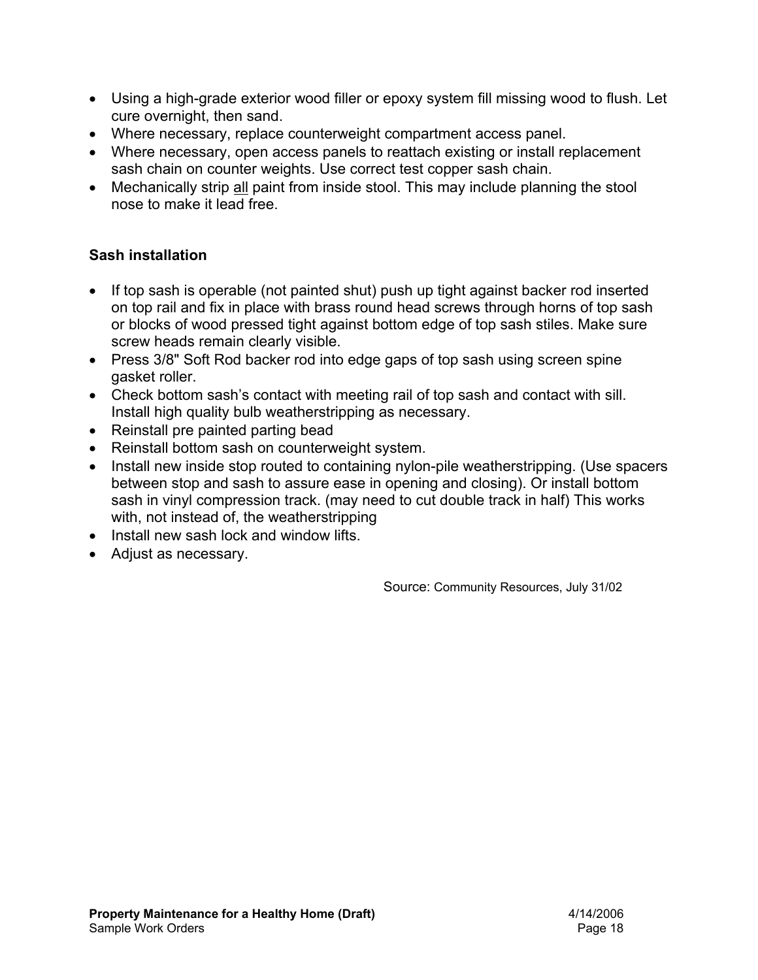- Using a high-grade exterior wood filler or epoxy system fill missing wood to flush. Let cure overnight, then sand.
- Where necessary, replace counterweight compartment access panel.
- Where necessary, open access panels to reattach existing or install replacement sash chain on counter weights. Use correct test copper sash chain.
- Mechanically strip all paint from inside stool. This may include planning the stool nose to make it lead free.

### **Sash installation**

- If top sash is operable (not painted shut) push up tight against backer rod inserted on top rail and fix in place with brass round head screws through horns of top sash or blocks of wood pressed tight against bottom edge of top sash stiles. Make sure screw heads remain clearly visible.
- Press 3/8" Soft Rod backer rod into edge gaps of top sash using screen spine gasket roller.
- Check bottom sash's contact with meeting rail of top sash and contact with sill. Install high quality bulb weatherstripping as necessary.
- Reinstall pre painted parting bead
- Reinstall bottom sash on counterweight system.
- Install new inside stop routed to containing nylon-pile weatherstripping. (Use spacers between stop and sash to assure ease in opening and closing). Or install bottom sash in vinyl compression track. (may need to cut double track in half) This works with, not instead of, the weatherstripping
- Install new sash lock and window lifts.
- Adjust as necessary.

Source: Community Resources, July 31/02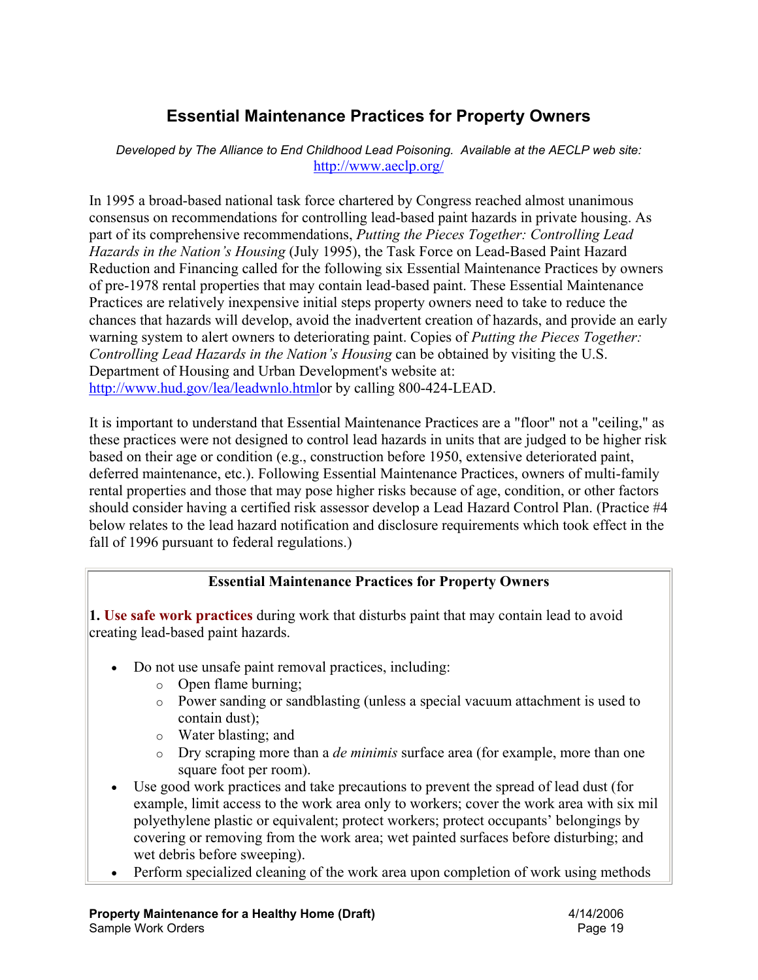# **Essential Maintenance Practices for Property Owners**

*Developed by The Alliance to End Childhood Lead Poisoning. Available at the AECLP web site:* http://www.aeclp.org/

In 1995 a broad-based national task force chartered by Congress reached almost unanimous consensus on recommendations for controlling lead-based paint hazards in private housing. As part of its comprehensive recommendations, *Putting the Pieces Together: Controlling Lead Hazards in the Nation's Housing* (July 1995), the Task Force on Lead-Based Paint Hazard Reduction and Financing called for the following six Essential Maintenance Practices by owners of pre-1978 rental properties that may contain lead-based paint. These Essential Maintenance Practices are relatively inexpensive initial steps property owners need to take to reduce the chances that hazards will develop, avoid the inadvertent creation of hazards, and provide an early warning system to alert owners to deteriorating paint. Copies of *Putting the Pieces Together: Controlling Lead Hazards in the Nation's Housing* can be obtained by visiting the U.S. Department of Housing and Urban Development's website at: http://www.hud.gov/lea/leadwnlo.htmlor by calling 800-424-LEAD.

It is important to understand that Essential Maintenance Practices are a "floor" not a "ceiling," as these practices were not designed to control lead hazards in units that are judged to be higher risk based on their age or condition (e.g., construction before 1950, extensive deteriorated paint, deferred maintenance, etc.). Following Essential Maintenance Practices, owners of multi-family rental properties and those that may pose higher risks because of age, condition, or other factors should consider having a certified risk assessor develop a Lead Hazard Control Plan. (Practice #4 below relates to the lead hazard notification and disclosure requirements which took effect in the fall of 1996 pursuant to federal regulations.)

### **Essential Maintenance Practices for Property Owners**

**1. Use safe work practices** during work that disturbs paint that may contain lead to avoid creating lead-based paint hazards.

- Do not use unsafe paint removal practices, including:
	- o Open flame burning;
	- o Power sanding or sandblasting (unless a special vacuum attachment is used to contain dust);
	- o Water blasting; and
	- o Dry scraping more than a *de minimis* surface area (for example, more than one square foot per room).
- Use good work practices and take precautions to prevent the spread of lead dust (for example, limit access to the work area only to workers; cover the work area with six mil polyethylene plastic or equivalent; protect workers; protect occupants' belongings by covering or removing from the work area; wet painted surfaces before disturbing; and wet debris before sweeping).
- Perform specialized cleaning of the work area upon completion of work using methods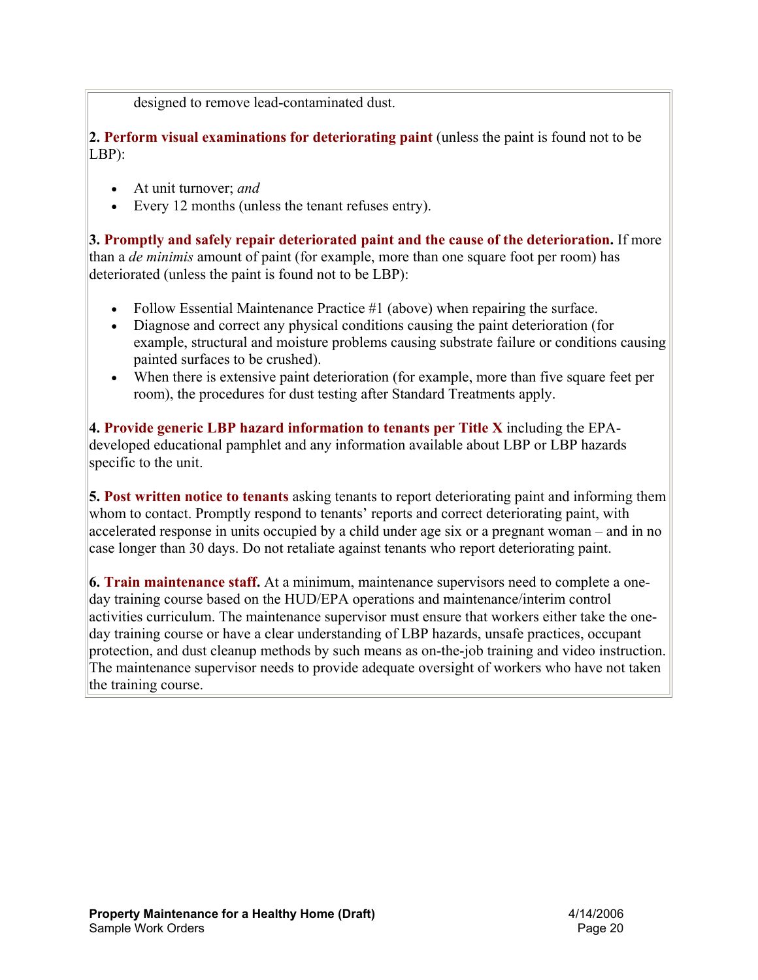designed to remove lead-contaminated dust.

**2. Perform visual examinations for deteriorating paint** (unless the paint is found not to be LBP):

- At unit turnover; *and*
- Every 12 months (unless the tenant refuses entry).

**3. Promptly and safely repair deteriorated paint and the cause of the deterioration.** If more than a *de minimis* amount of paint (for example, more than one square foot per room) has deteriorated (unless the paint is found not to be LBP):

- Follow Essential Maintenance Practice #1 (above) when repairing the surface.
- Diagnose and correct any physical conditions causing the paint deterioration (for example, structural and moisture problems causing substrate failure or conditions causing painted surfaces to be crushed).
- When there is extensive paint deterioration (for example, more than five square feet per room), the procedures for dust testing after Standard Treatments apply.

**4. Provide generic LBP hazard information to tenants per Title X** including the EPAdeveloped educational pamphlet and any information available about LBP or LBP hazards specific to the unit.

**5. Post written notice to tenants** asking tenants to report deteriorating paint and informing them whom to contact. Promptly respond to tenants' reports and correct deteriorating paint, with accelerated response in units occupied by a child under age six or a pregnant woman – and in no case longer than 30 days. Do not retaliate against tenants who report deteriorating paint.

**6. Train maintenance staff.** At a minimum, maintenance supervisors need to complete a oneday training course based on the HUD/EPA operations and maintenance/interim control activities curriculum. The maintenance supervisor must ensure that workers either take the oneday training course or have a clear understanding of LBP hazards, unsafe practices, occupant protection, and dust cleanup methods by such means as on-the-job training and video instruction. The maintenance supervisor needs to provide adequate oversight of workers who have not taken the training course.